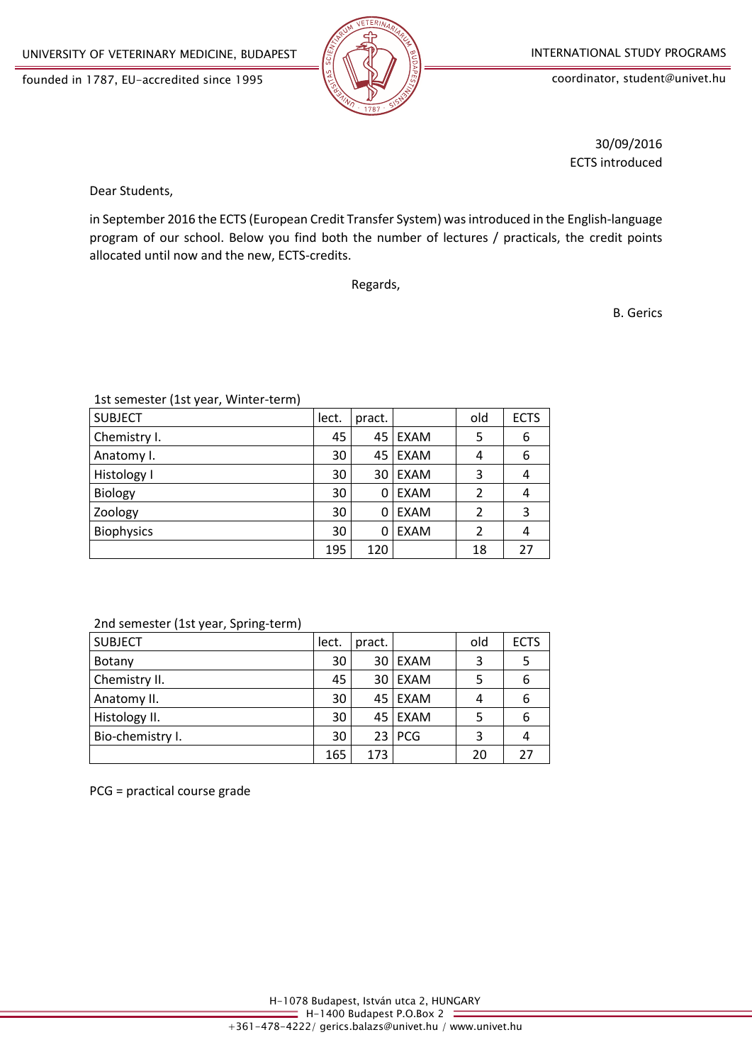founded in 1787, EU-accredited since 1995



coordinator, student@univet.hu

30/09/2016 ECTS introduced

Dear Students,

in September 2016 the ECTS (European Credit Transfer System) was introduced in the English-language program of our school. Below you find both the number of lectures / practicals, the credit points allocated until now and the new, ECTS-credits.

Regards,

B. Gerics

1st semester (1st year, Winter-term)

| <b>SUBJECT</b>    | lect. | pract.          |             | old            | <b>ECTS</b> |
|-------------------|-------|-----------------|-------------|----------------|-------------|
| Chemistry I.      | 45    |                 | 45 EXAM     | 5              | 6           |
| Anatomy I.        | 30    |                 | 45 EXAM     | 4              | 6           |
| Histology I       | 30    | 30 <sup>1</sup> | EXAM        | 3              | 4           |
| Biology           | 30    | 0               | <b>EXAM</b> | $\overline{2}$ | 4           |
| Zoology           | 30    | 0               | <b>EXAM</b> | $\overline{2}$ | 3           |
| <b>Biophysics</b> | 30    | 0               | <b>EXAM</b> | $\overline{2}$ | 4           |
|                   | 195   | 120             |             | 18             | 27          |

#### 2nd semester (1st year, Spring-term)

| <b>SUBJECT</b>   | lect. | pract. |          | old | <b>ECTS</b> |
|------------------|-------|--------|----------|-----|-------------|
| Botany           | 30    |        | 30 EXAM  | 3   | -5          |
| Chemistry II.    | 45    |        | 30 EXAM  |     | 6           |
| Anatomy II.      | 30    |        | 45 EXAM  |     | 6           |
| Histology II.    | 30    |        | 45 EXAM  |     | 6           |
| Bio-chemistry I. | 30    |        | $23$ PCG | 3   |             |
|                  | 165   | 173    |          | 20  | 27          |

PCG = practical course grade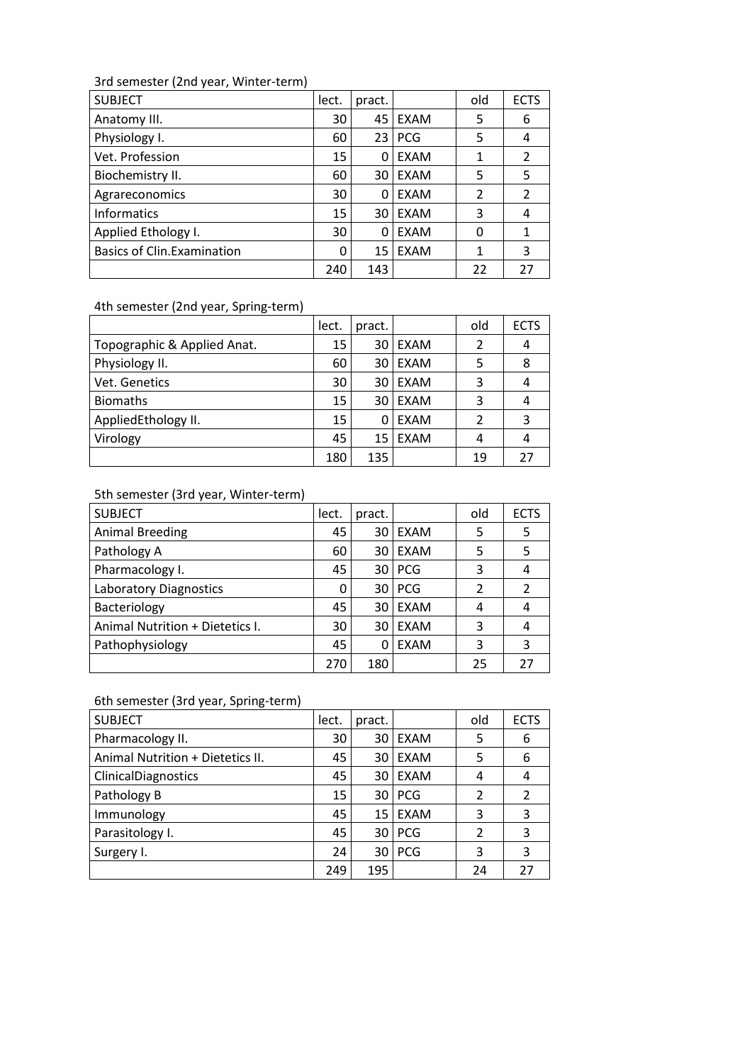# 3rd semester (2nd year, Winter-term)

| <b>SUBJECT</b>                    | lect. | pract. |             | old | <b>ECTS</b> |
|-----------------------------------|-------|--------|-------------|-----|-------------|
| Anatomy III.                      | 30    | 45 I   | EXAM        | 5   | 6           |
| Physiology I.                     | 60    |        | $23$ PCG    | 5   | 4           |
| Vet. Profession                   | 15    | 0      | EXAM        | 1   | 2           |
| Biochemistry II.                  | 60    | 30     | EXAM        | 5   | 5           |
| Agrareconomics                    | 30    | 0      | EXAM        | 2   | 2           |
| <b>Informatics</b>                | 15    | 30     | <b>FXAM</b> | 3   | 4           |
| Applied Ethology I.               | 30    | 0      | <b>EXAM</b> | 0   | 1           |
| <b>Basics of Clin.Examination</b> | 0     | 15     | <b>EXAM</b> |     | 3           |
|                                   | 240   | 143    |             | 22  | 27          |

4th semester (2nd year, Spring-term)

|                             | lect. | pract. |             | old | <b>ECTS</b> |
|-----------------------------|-------|--------|-------------|-----|-------------|
| Topographic & Applied Anat. | 15    | 30     | EXAM        | 2   |             |
| Physiology II.              | 60    | 30     | <b>EXAM</b> | 5   | 8           |
| Vet. Genetics               | 30    | 30     | EXAM        | 3   |             |
| <b>Biomaths</b>             | 15    | 30     | EXAM        | 3   |             |
| AppliedEthology II.         | 15    | 0      | EXAM        | 2   | 3           |
| Virology                    | 45    | 15     | EXAM        | 4   |             |
|                             | 180   | 135    |             | 19  |             |

# 5th semester (3rd year, Winter-term)

| <b>SUBJECT</b>                  | lect. | pract. |             | old | <b>ECTS</b> |
|---------------------------------|-------|--------|-------------|-----|-------------|
| <b>Animal Breeding</b>          | 45    | 30     | <b>EXAM</b> | 5   | 5           |
| Pathology A                     | 60    | 30     | <b>EXAM</b> | 5   | 5           |
| Pharmacology I.                 | 45    | 30     | <b>PCG</b>  | 3   | 4           |
| Laboratory Diagnostics          |       | 30     | <b>PCG</b>  | 2   | 2           |
| Bacteriology                    | 45    | 30     | <b>EXAM</b> | 4   |             |
| Animal Nutrition + Dietetics I. | 30    | 30     | <b>EXAM</b> | 3   |             |
| Pathophysiology                 | 45    | 0      | <b>EXAM</b> | 3   | ς           |
|                                 | 270   | 180    |             | 25  | 27          |

# 6th semester (3rd year, Spring-term)

| <b>SUBJECT</b>                   | lect. | pract. |             | old            | <b>ECTS</b> |
|----------------------------------|-------|--------|-------------|----------------|-------------|
| Pharmacology II.                 | 30    | 30 I   | <b>EXAM</b> | 5              | 6           |
| Animal Nutrition + Dietetics II. | 45    | 30 I   | <b>EXAM</b> | 5              | 6           |
| ClinicalDiagnostics              | 45    |        | 30 EXAM     | 4              | 4           |
| Pathology B                      | 15    |        | $30$ PCG    | 2              |             |
| Immunology                       | 45    |        | 15 EXAM     | 3              | 3           |
| Parasitology I.                  | 45    |        | $30$ PCG    | $\mathfrak{p}$ | 3           |
| Surgery I.                       | 24    |        | 30   PCG    | 3              | 3           |
|                                  | 249   | 195    |             | 24             | 27          |